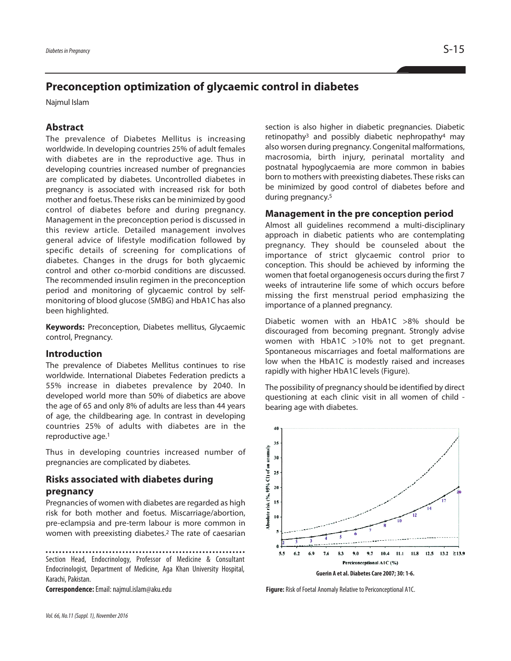# **Preconception optimization of glycaemic control in diabetes**

Najmul Islam

#### **Abstract**

The prevalence of Diabetes Mellitus is increasing worldwide. In developing countries 25% of adult females with diabetes are in the reproductive age. Thus in developing countries increased number of pregnancies are complicated by diabetes. Uncontrolled diabetes in pregnancy is associated with increased risk for both mother and foetus. These risks can be minimized by good control of diabetes before and during pregnancy. Management in the preconception period is discussed in this review article. Detailed management involves general advice of lifestyle modification followed by specific details of screening for complications of diabetes. Changes in the drugs for both glycaemic control and other co-morbid conditions are discussed. The recommended insulin regimen in the preconception period and monitoring of glycaemic control by selfmonitoring of blood glucose (SMBG) and HbA1C has also been highlighted.

**Keywords:** Preconception, Diabetes mellitus, Glycaemic control, Pregnancy.

#### **Introduction**

The prevalence of Diabetes Mellitus continues to rise worldwide. International Diabetes Federation predicts a 55% increase in diabetes prevalence by 2040. In developed world more than 50% of diabetics are above the age of 65 and only 8% of adults are less than 44 years of age, the childbearing age. In contrast in developing countries 25% of adults with diabetes are in the reproductive age. 1

Thus in developing countries increased number of pregnancies are complicated by diabetes.

## **Risks associated with diabetes during pregnancy**

Pregnancies of women with diabetes are regarded as high risk for both mother and foetus. Miscarriage/abortion, pre-eclampsia and pre-term labour is more common in women with preexisting diabetes. <sup>2</sup> The rate of caesarian

section is also higher in diabetic pregnancies. Diabetic retinopathy<sup>3</sup> and possibly diabetic nephropathy<sup>4</sup> may also worsen during pregnancy. Congenital malformations, macrosomia, birth injury, perinatal mortality and postnatal hypoglycaemia are more common in babies born to mothers with preexisting diabetes. These risks can be minimized by good control of diabetes before and during pregnancy. 5

#### **Management in the pre conception period**

Almost all guidelines recommend a multi-disciplinary approach in diabetic patients who are contemplating pregnancy. They should be counseled about the importance of strict glycaemic control prior to conception. This should be achieved by informing the women that foetal organogenesis occurs during the first 7 weeks of intrauterine life some of which occurs before missing the first menstrual period emphasizing the importance of a planned pregnancy.

Diabetic women with an HbA1C >8% should be discouraged from becoming pregnant. Strongly advise women with HbA1C >10% not to get pregnant. Spontaneous miscarriages and foetal malformations are low when the HbA1C is modestly raised and increases rapidly with higher HbA1C levels (Figure).

The possibility of pregnancy should be identified by direct questioning at each clinic visit in all women of child bearing age with diabetes.



Correspondence: Email: najmul.islam@aku.edu **Figure:** Risk of Foetal Anomaly Relative to Periconceptional A1C.

Section Head, Endocrinology, Professor of Medicine & Consultant Endocrinologist, Department of Medicine, Aga Khan University Hospital, Karachi, Pakistan.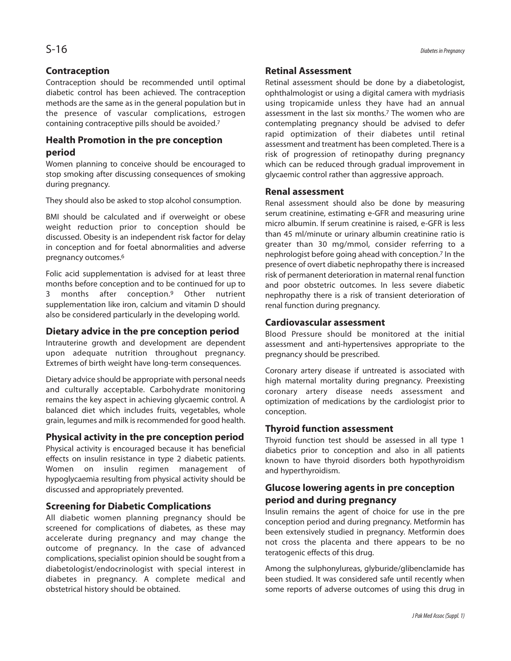## **Contraception**

Contraception should be recommended until optimal diabetic control has been achieved. The contraception methods are the same as in the general population but in the presence of vascular complications, estrogen containing contraceptive pills should be avoided. 7

# **Health Promotion in the pre conception period**

Women planning to conceive should be encouraged to stop smoking after discussing consequences of smoking during pregnancy.

They should also be asked to stop alcohol consumption.

BMI should be calculated and if overweight or obese weight reduction prior to conception should be discussed. Obesity is an independent risk factor for delay in conception and for foetal abnormalities and adverse pregnancy outcomes. 6

Folic acid supplementation is advised for at least three months before conception and to be continued for up to 3 months after conception. <sup>9</sup> Other nutrient supplementation like iron, calcium and vitamin D should also be considered particularly in the developing world.

# **Dietary advice in the pre conception period**

Intrauterine growth and development are dependent upon adequate nutrition throughout pregnancy. Extremes of birth weight have long-term consequences.

Dietary advice should be appropriate with personal needs and culturally acceptable. Carbohydrate monitoring remains the key aspect in achieving glycaemic control. A balanced diet which includes fruits, vegetables, whole grain, legumes and milk is recommended for good health.

## **Physical activity in the pre conception period**

Physical activity is encouraged because it has beneficial effects on insulin resistance in type 2 diabetic patients. Women on insulin regimen management of hypoglycaemia resulting from physical activity should be discussed and appropriately prevented.

## **Screening for Diabetic Complications**

All diabetic women planning pregnancy should be screened for complications of diabetes, as these may accelerate during pregnancy and may change the outcome of pregnancy. In the case of advanced complications, specialist opinion should be sought from a diabetologist/endocrinologist with special interest in diabetes in pregnancy. A complete medical and obstetrical history should be obtained.

## **Retinal Assessment**

Retinal assessment should be done by a diabetologist, ophthalmologist or using a digital camera with mydriasis using tropicamide unless they have had an annual assessment in the last six months. <sup>7</sup> The women who are contemplating pregnancy should be advised to defer rapid optimization of their diabetes until retinal assessment and treatment has been completed. There is a risk of progression of retinopathy during pregnancy which can be reduced through gradual improvement in glycaemic control rather than aggressive approach.

## **Renal assessment**

Renal assessment should also be done by measuring serum creatinine, estimating e-GFR and measuring urine micro albumin. If serum creatinine is raised, e-GFR is less than 45 ml/minute or urinary albumin creatinine ratio is greater than 30 mg/mmol, consider referring to a nephrologist before going ahead with conception. <sup>7</sup> In the presence of overt diabetic nephropathy there is increased risk of permanent deterioration in maternal renal function and poor obstetric outcomes. In less severe diabetic nephropathy there is a risk of transient deterioration of renal function during pregnancy.

## **Cardiovascular assessment**

Blood Pressure should be monitored at the initial assessment and anti-hypertensives appropriate to the pregnancy should be prescribed.

Coronary artery disease if untreated is associated with high maternal mortality during pregnancy. Preexisting coronary artery disease needs assessment and optimization of medications by the cardiologist prior to conception.

## **Thyroid function assessment**

Thyroid function test should be assessed in all type 1 diabetics prior to conception and also in all patients known to have thyroid disorders both hypothyroidism and hyperthyroidism.

# **Glucose lowering agents in pre conception period and during pregnancy**

Insulin remains the agent of choice for use in the pre conception period and during pregnancy. Metformin has been extensively studied in pregnancy. Metformin does not cross the placenta and there appears to be no teratogenic effects of this drug.

Among the sulphonylureas, glyburide/glibenclamide has been studied. It was considered safe until recently when some reports of adverse outcomes of using this drug in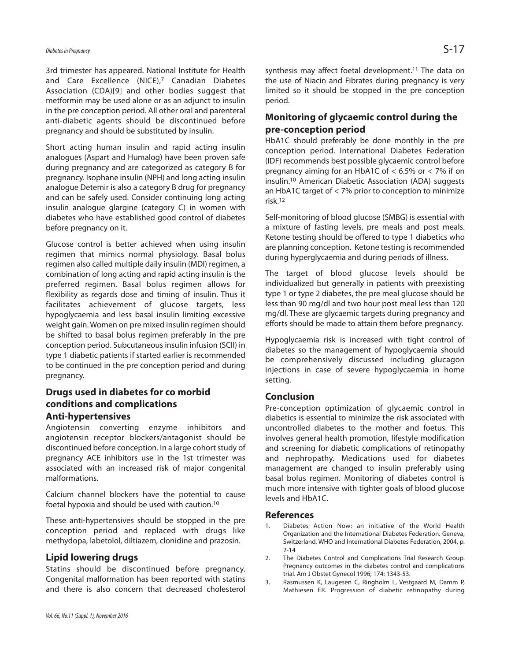3rd trimester has appeared. National Institute for Health and Care Excellence (NICE), <sup>7</sup> Canadian Diabetes Association (CDA)[9] and other bodies suggest that metformin may be used alone or as an adjunct to insulin in the pre conception period. All other oral and parenteral anti-diabetic agents should be discontinued before pregnancy and should be substituted by insulin.

Short acting human insulin and rapid acting insulin analogues (Aspart and Humalog) have been proven safe during pregnancy and are categorized as category B for pregnancy. Isophane insulin (NPH) and long acting insulin analogue Detemir is also a category B drug for pregnancy and can be safely used. Consider continuing long acting insulin analogue glargine (category C) in women with diabetes who have established good control of diabetes before pregnancy on it.

Glucose control is better achieved when using insulin regimen that mimics normal physiology. Basal bolus regimen also called multiple daily insulin (MDI) regimen, a combination of long acting and rapid acting insulin is the preferred regimen. Basal bolus regimen allows for flexibility as regards dose and timing of insulin. Thus it facilitates achievement of glucose targets, less hypoglycaemia and less basal insulin limiting excessive weight gain. Women on pre mixed insulin regimen should be shifted to basal bolus regimen preferably in the pre conception period. Subcutaneous insulin infusion (SCII) in type 1 diabetic patients if started earlier is recommended to be continued in the pre conception period and during pregnancy.

# **Drugs used in diabetes for co morbid conditions and complications Anti-hypertensives**

Angiotensin converting enzyme inhibitors and angiotensin receptor blockers/antagonist should be discontinued before conception. In a large cohort study of pregnancy ACE inhibitors use in the 1st trimester was associated with an increased risk of major congenital malformations.

Calcium channel blockers have the potential to cause foetal hypoxia and should be used with caution. 10

These anti-hypertensives should be stopped in the pre conception period and replaced with drugs like methydopa, labetolol, diltiazem, clonidine and prazosin.

#### **Lipid lowering drugs**

Statins should be discontinued before pregnancy. Congenital malformation has been reported with statins and there is also concern that decreased cholesterol

synthesis may affect foetal development. <sup>11</sup> The data on the use of Niacin and Fibrates during pregnancy is very limited so it should be stopped in the pre conception period.

# **Monitoring of glycaemic control during the pre-conception period**

HbA1C should preferably be done monthly in the pre conception period. International Diabetes Federation (IDF) recommends best possible glycaemic control before pregnancy aiming for an HbA1C of < 6.5% or < 7% if on insulin. <sup>10</sup> American Diabetic Association (ADA) suggests an HbA1C target of < 7% prior to conception to minimize risk. 12

Self-monitoring of blood glucose (SMBG) is essential with a mixture of fasting levels, pre meals and post meals. Ketone testing should be offered to type 1 diabetics who are planning conception. Ketone testing is recommended during hyperglycaemia and during periods of illness.

The target of blood glucose levels should be individualized but generally in patients with preexisting type 1 or type 2 diabetes, the pre meal glucose should be less than 90 mg/dl and two hour post meal less than 120 mg/dl. These are glycaemic targets during pregnancy and efforts should be made to attain them before pregnancy.

Hypoglycaemia risk is increased with tight control of diabetes so the management of hypoglycaemia should be comprehensively discussed including glucagon injections in case of severe hypoglycaemia in home setting.

#### **Conclusion**

Pre-conception optimization of glycaemic control in diabetics is essential to minimize the risk associated with uncontrolled diabetes to the mother and foetus. This involves general health promotion, lifestyle modification and screening for diabetic complications of retinopathy and nephropathy. Medications used for diabetes management are changed to insulin preferably using basal bolus regimen. Monitoring of diabetes control is much more intensive with tighter goals of blood glucose levels and HbA1C.

#### **References**

- 1. Diabetes Action Now: an initiative of the World Health Organization and the International Diabetes Federation. Geneva, Switzerland, WHO and International Diabetes Federation, 2004, p.  $2 - 14$
- 2. The Diabetes Control and Complications Trial Research Group. Pregnancy outcomes in the diabetes control and complications trial. Am J Obstet Gynecol 1996; 174: 1343-53.
- 3. Rasmussen K, Laugesen C, Ringholm L, Vestgaard M, Damm P, Mathiesen ER. Progression of diabetic retinopathy during